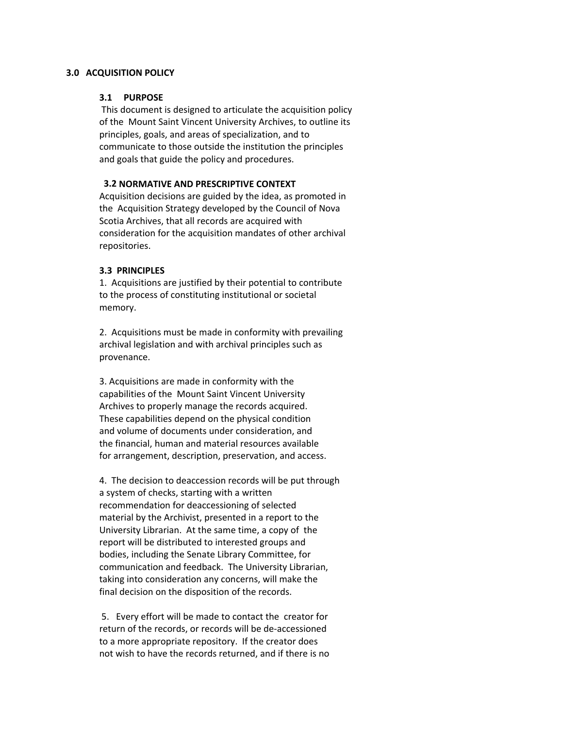### **3.0 ACQUISITION POLICY**

### **3.1 PURPOSE**

This document is designed to articulate the acquisition policy of the Mount Saint Vincent University Archives, to outline its principles, goals, and areas of specialization, and to communicate to those outside the institution the principles and goals that guide the policy and procedures.

# **3.2 NORMATIVE AND PRESCRIPTIVE CONTEXT**

Acquisition decisions are guided by the idea, as promoted in the Acquisition Strategy developed by the Council of Nova Scotia Archives, that all records are acquired with consideration for the acquisition mandates of other archival repositories.

## **3.3 PRINCIPLES**

1. Acquisitions are justified by their potential to contribute to the process of constituting institutional or societal memory.

2. Acquisitions must be made in conformity with prevailing archival legislation and with archival principles such as provenance.

3. Acquisitions are made in conformity with the capabilities of the Mount Saint Vincent University Archives to properly manage the records acquired. These capabilities depend on the physical condition and volume of documents under consideration, and the financial, human and material resources available for arrangement, description, preservation, and access.

4. The decision to deaccession records will be put through a system of checks, starting with a written recommendation for deaccessioning of selected material by the Archivist, presented in a report to the University Librarian. At the same time, a copy of the report will be distributed to interested groups and bodies, including the Senate Library Committee, for communication and feedback. The University Librarian, taking into consideration any concerns, will make the final decision on the disposition of the records.

5. Every effort will be made to contact the creator for return of the records, or records will be de‐accessioned to a more appropriate repository. If the creator does not wish to have the records returned, and if there is no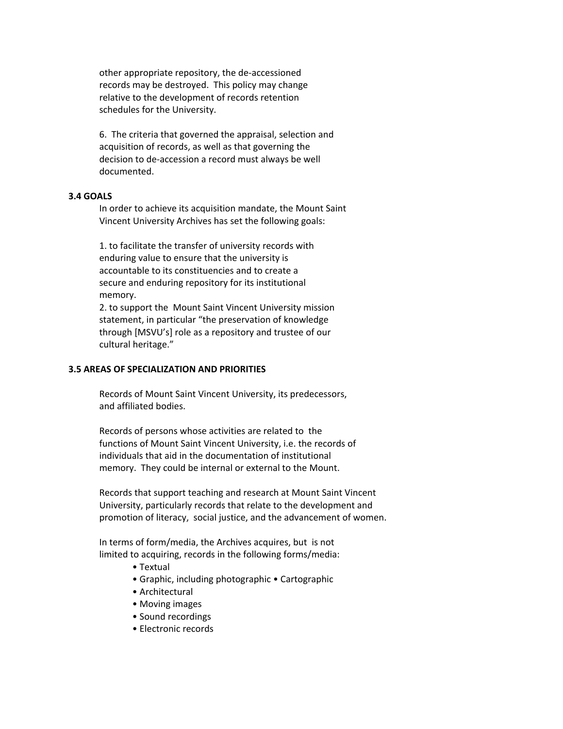other appropriate repository, the de‐accessioned records may be destroyed. This policy may change relative to the development of records retention schedules for the University.

6. The criteria that governed the appraisal, selection and acquisition of records, as well as that governing the decision to de‐accession a record must always be well documented.

#### **3.4 GOALS**

In order to achieve its acquisition mandate, the Mount Saint Vincent University Archives has set the following goals:

1. to facilitate the transfer of university records with enduring value to ensure that the university is accountable to its constituencies and to create a secure and enduring repository for its institutional memory.

2. to support the Mount Saint Vincent University mission statement, in particular "the preservation of knowledge through [MSVU's] role as a repository and trustee of our cultural heritage."

### **3.5 AREAS OF SPECIALIZATION AND PRIORITIES**

Records of Mount Saint Vincent University, its predecessors, and affiliated bodies.

Records of persons whose activities are related to the functions of Mount Saint Vincent University, i.e. the records of individuals that aid in the documentation of institutional memory. They could be internal or external to the Mount.

Records that support teaching and research at Mount Saint Vincent University, particularly records that relate to the development and promotion of literacy, social justice, and the advancement of women.

In terms of form/media, the Archives acquires, but is not limited to acquiring, records in the following forms/media:

- Textual
- Graphic, including photographic Cartographic
- Architectural
- Moving images
- Sound recordings
- Electronic records